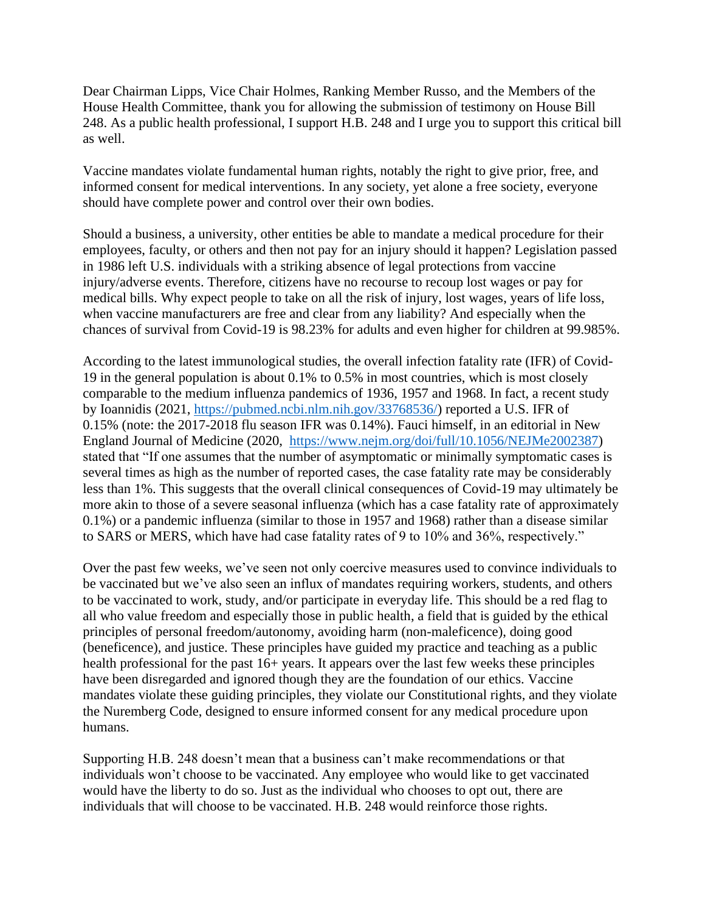Dear Chairman Lipps, Vice Chair Holmes, Ranking Member Russo, and the Members of the House Health Committee, thank you for allowing the submission of testimony on House Bill 248. As a public health professional, I support H.B. 248 and I urge you to support this critical bill as well.

Vaccine mandates violate fundamental human rights, notably the right to give prior, free, and informed consent for medical interventions. In any society, yet alone a free society, everyone should have complete power and control over their own bodies.

Should a business, a university, other entities be able to mandate a medical procedure for their employees, faculty, or others and then not pay for an injury should it happen? Legislation passed in 1986 left U.S. individuals with a striking absence of legal protections from vaccine injury/adverse events. Therefore, citizens have no recourse to recoup lost wages or pay for medical bills. Why expect people to take on all the risk of injury, lost wages, years of life loss, when vaccine manufacturers are free and clear from any liability? And especially when the chances of survival from Covid-19 is 98.23% for adults and even higher for children at 99.985%.

According to the latest immunological studies, the overall infection fatality rate (IFR) of Covid-19 in the general population is about 0.1% to 0.5% in most countries, which is most closely comparable to the medium influenza pandemics of 1936, 1957 and 1968. In fact, a recent study by Ioannidis (2021, [https://pubmed.ncbi.nlm.nih.gov/33768536/\)](https://pubmed.ncbi.nlm.nih.gov/33768536/) reported a U.S. IFR of 0.15% (note: the 2017-2018 flu season IFR was 0.14%). Fauci himself, in an editorial in New England Journal of Medicine (2020, [https://www.nejm.org/doi/full/10.1056/NEJMe2002387\)](https://www.nejm.org/doi/full/10.1056/NEJMe2002387) stated that "If one assumes that the number of asymptomatic or minimally symptomatic cases is several times as high as the number of reported cases, the case fatality rate may be considerably less than 1%. This suggests that the overall clinical consequences of Covid-19 may ultimately be more akin to those of a severe seasonal influenza (which has a case fatality rate of approximately 0.1%) or a pandemic influenza (similar to those in 1957 and 1968) rather than a disease similar to SARS or MERS, which have had case fatality rates of 9 to 10% and 36%, respectively."

Over the past few weeks, we've seen not only coercive measures used to convince individuals to be vaccinated but we've also seen an influx of mandates requiring workers, students, and others to be vaccinated to work, study, and/or participate in everyday life. This should be a red flag to all who value freedom and especially those in public health, a field that is guided by the ethical principles of personal freedom/autonomy, avoiding harm (non-maleficence), doing good (beneficence), and justice. These principles have guided my practice and teaching as a public health professional for the past 16+ years. It appears over the last few weeks these principles have been disregarded and ignored though they are the foundation of our ethics. Vaccine mandates violate these guiding principles, they violate our Constitutional rights, and they violate the Nuremberg Code, designed to ensure informed consent for any medical procedure upon humans.

Supporting H.B. 248 doesn't mean that a business can't make recommendations or that individuals won't choose to be vaccinated. Any employee who would like to get vaccinated would have the liberty to do so. Just as the individual who chooses to opt out, there are individuals that will choose to be vaccinated. H.B. 248 would reinforce those rights.